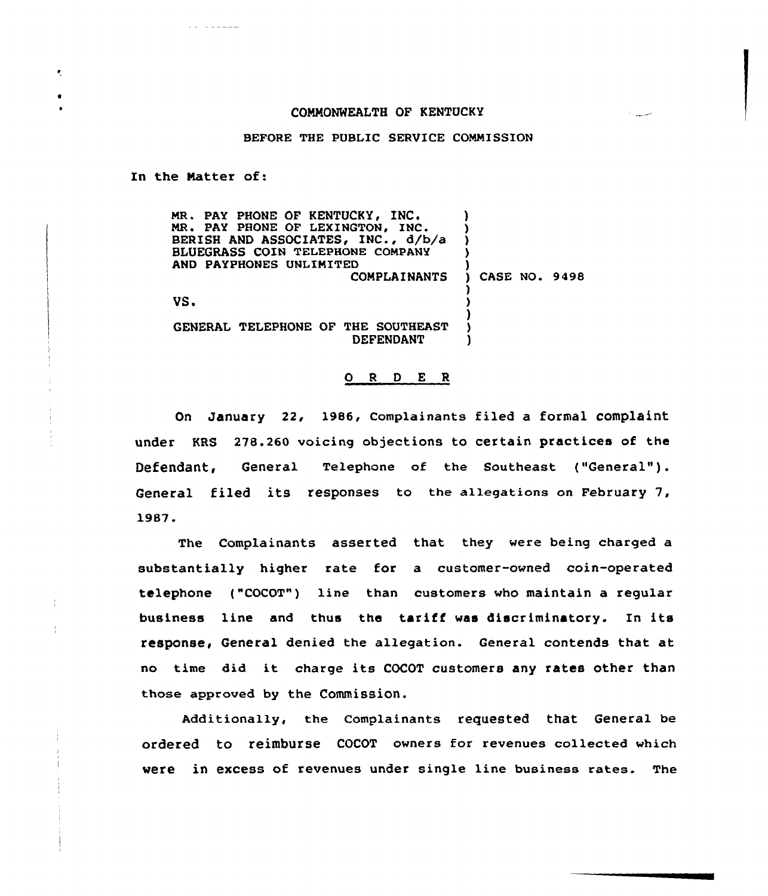## COMMONWEALTH OF KENTUCKY

## BEFORE THE PUBLIC SERVICE COMMISSION

In the Natter of:

 $\bullet$ 

| MR. PAY PHONE OF KENTUCKY, INC.<br>MR. PAY PHONE OF LEXINGTON, INC.<br>BERISH AND ASSOCIATES, INC., d/b/a<br>BLUEGRASS COIN TELEPHONE COMPANY |                      |
|-----------------------------------------------------------------------------------------------------------------------------------------------|----------------------|
|                                                                                                                                               |                      |
| AND PAYPHONES UNLIMITED                                                                                                                       |                      |
| <b>COMPLAINANTS</b>                                                                                                                           | <b>CASE NO. 9498</b> |
|                                                                                                                                               |                      |
| VS.                                                                                                                                           |                      |
|                                                                                                                                               |                      |
| GENERAL TELEPHONE OF THE SOUTHEAST<br>DEFENDANT                                                                                               |                      |

## 0 <sup>R</sup> <sup>D</sup> E <sup>R</sup>

On January 22, 1986, Complainants filed a formal complaint under KRS 278.260 voicing objections to certain practices of the Defendant, General Telephone of the Southeast ("General"). General filed its responses to the a1legations on February 7, 1987.

The Complainants asserted that they were being charged a substantially higher rate for a customer-owned coin-operated telephone ("COCOT") line than customers who maintain a regular business line and thus the tariff was discriminatory. In its response, General denied the allegation. General contends that at no time did it charge its COCOT customers any rates other than those approved by the Commission.

Additionally, the complainants requested that General be ordered to reimburse COCOT owners for revenues collected which were in excess of revenues under single line business rates. The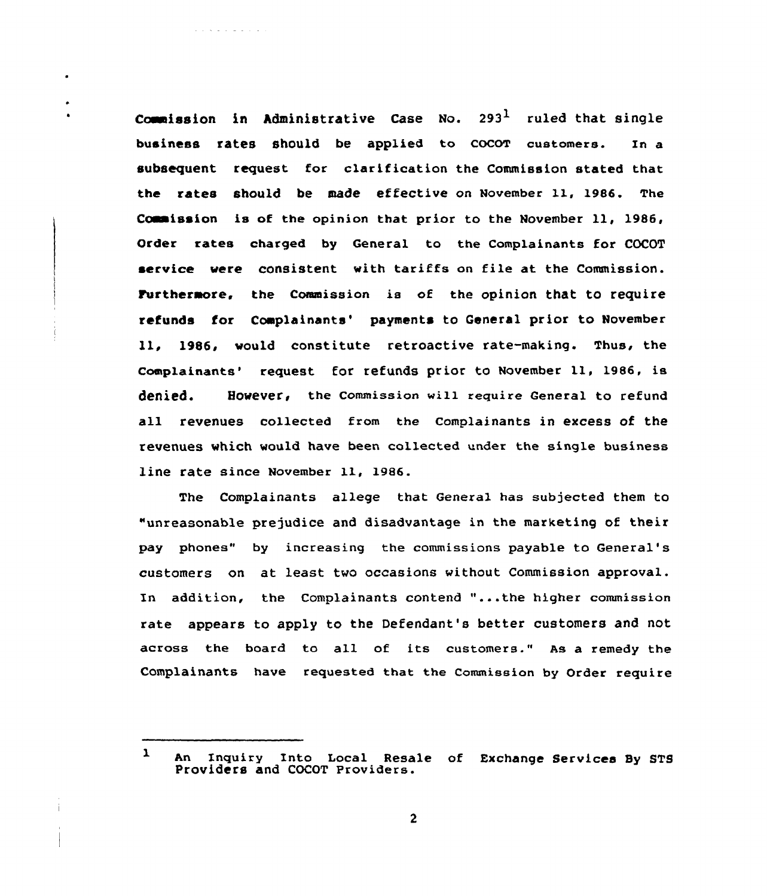Commission in Administrative Case No. 293<sup>1</sup> ruled that single business rates should be applied to COCOT customers. In a subsequent request for clarification the Commission stated that the rates should be made effective on November ll, 1986. The Coaaission is of the opinion that prior to the November ll, 1986, Order rates charged by General to the Complainants for COCOT service vere consistent with tariffs on file at the Commission. Furthermore. the Commission is of the opinion that to require refunds for Complainants' payments to General prior to November ll, 1986, would constitute retroactive rate-making. Thus, the Complainants' request for refunds prior to November 11, 1986, is denied. However, the commission will require General to refund all revenues collected from the Complainants in excess of the revenues which would have been collected under the single business line rate since November 11, 1986.

The Complainants allege that General has subjected them to "unreasonable prejudice and disadvantage in the marketing of their pay phones" by increasing the commissions payable to General' customers on at least two occasions without Commission approval. In addition, the Complainants contend "...the higher commission rate appears to apply to the Defendant's better customers and not across the board to all of its customers." As a remedy the Complainants have requested that the Commission by Order require

 $\mathbf{I}$ An Inquiry Into Local Resale of Exchange Services By STS Providers and COCOT Providers.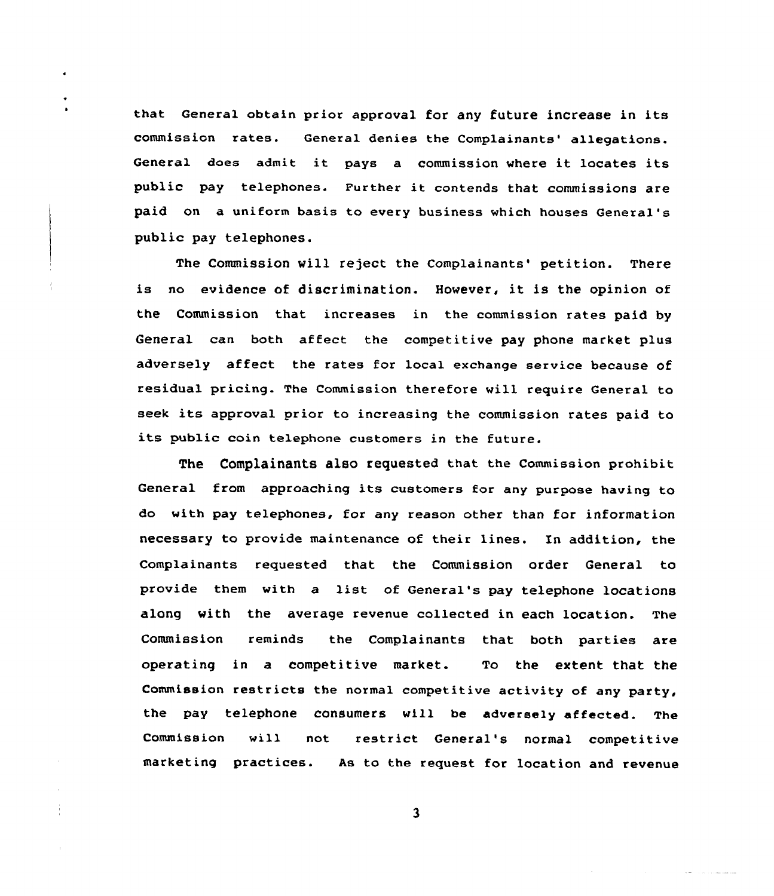that General obtain prior approval for any future increase in its commission rates. General denies the Complainants' allegations. General does admit it pays <sup>a</sup> commission where it locates its public pay telephones. Further it contends that commissions are paid on a uniform basis to every business which houses General' public pay telephones.

The Commission will reject the Complainants' petition. There is no evidence of discrimination. However, it is the opinion of the Commission that increases in the commission rates paid by General can both affect the competitive pay phone market plus adversely affect the rates for local exchange service because of residual pricing. The Commission therefore will require General to seek its approval prior to increasing the commission rates paid to its public coin telephone customers in the future.

The Complainants also requested that the Commission prohibit General from approaching its customers for any purpose having to do with pay telephones, for any reason other than for information necessary to provide maintenance of their lines. In addition, the Complainants requested that the Commission order General to provide them with a list of General's pay telephone locations along with the average revenue collected in each location. The Commission reminds the Complainants that both parties are operating in a competitive market. To the extent that the Commission restricts the normal competitive activity of any party, the pay telephone consumers will be adversely affected. The Commission will not restrict General 's normal competitive marketing practices. As to the request for location and revenue

 $\overline{\mathbf{3}}$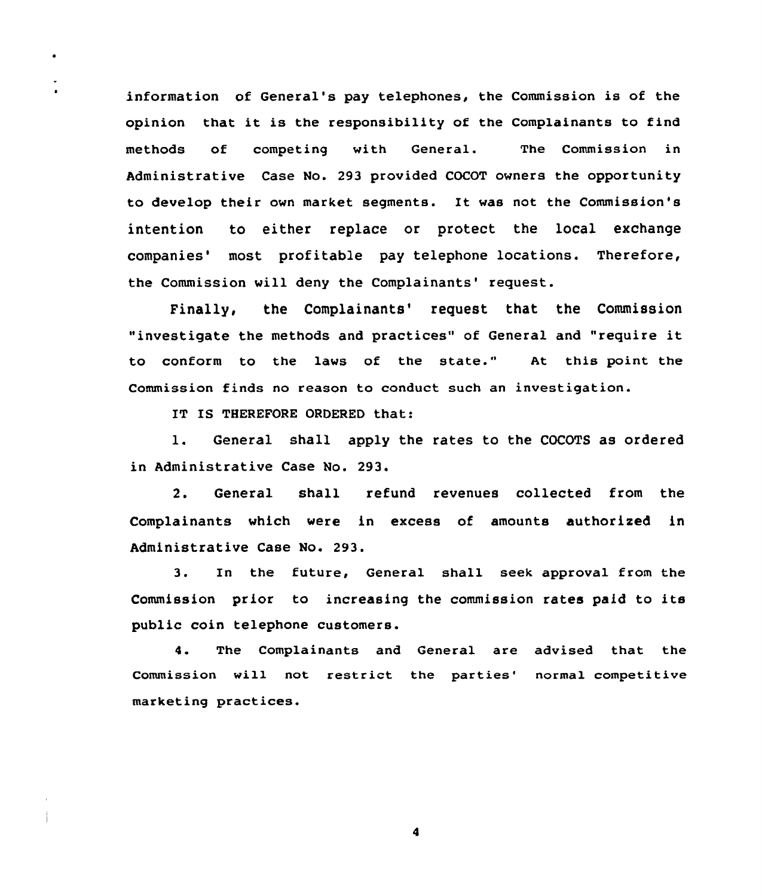information of General's pay telephones, the Commission is of the opinion that it is the responsibility of the Complainants to find methods of competing with General. The Commission in Administrative Case No. 293 provided COCOT owners the opportunity to develop their own market segments. It was not the Commission's intention to either replace or protect the local exchange companies' most profitable pay telephone locations. Therefore, the Commission will deny the Complainants' request.

Finally, the Complainants' request that the Commission "investigate the methods and practices" of General and "require it to conform to the laws of the state." At this point the Commission finds no reason to conduct such an investigation.

IT IS THEREFORE ORDERED that:

 $\bullet$ 

 $\bullet$ 

l. General shall apply the rates to the COCOTS as ordered in Administrative Case No. 293.

2. General shall refund revenues collected from the Complainants which were in excess of amounts authorized in Administrative Case No. 293.

3. In the future, General shall seek approval from the Commission prior to increasing the commission rates paid to its public coin telephone customers.

4. The Complainants and General are advised that the Commission will not restrict the parties' normal competitive marketing practices.

 $\overline{\mathbf{A}}$